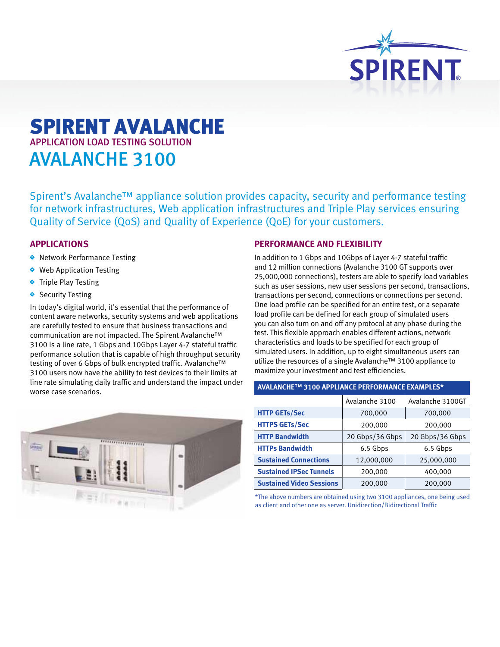

# spirent Avalanche Avalanche 3100 Application Load Testing Solution

Spirent's Avalanche<sup>™</sup> appliance solution provides capacity, security and performance testing for network infrastructures, Web application infrastructures and Triple Play services ensuring Quality of Service (QoS) and Quality of Experience (QoE) for your customers.

## **APPLICATIONS**

- **•** Network Performance Testing
- **•** Web Application Testing
- **•** Triple Play Testing
- **•** Security Testing

In today's digital world, it's essential that the performance of content aware networks, security systems and web applications are carefully tested to ensure that business transactions and communication are not impacted. The Spirent Avalanche™ 3100 is a line rate, 1 Gbps and 10Gbps Layer 4-7 stateful traffic performance solution that is capable of high throughput security testing of over 6 Gbps of bulk encrypted traffic. Avalanche™ 3100 users now have the ability to test devices to their limits at line rate simulating daily traffic and understand the impact under worse case scenarios.



#### **Performance and Flexibility**

In addition to 1 Gbps and 10Gbps of Layer 4-7 stateful traffic and 12 million connections (Avalanche 3100 GT supports over 25,000,000 connections), testers are able to specify load variables such as user sessions, new user sessions per second, transactions, transactions per second, connections or connections per second. One load profile can be specified for an entire test, or a separate load profile can be defined for each group of simulated users you can also turn on and off any protocol at any phase during the test. This flexible approach enables different actions, network characteristics and loads to be specified for each group of simulated users. In addition, up to eight simultaneous users can utilize the resources of a single Avalanche™ 3100 appliance to maximize your investment and test efficiencies.

#### **Avalanche™ 3100 Appliance Performance Examples\***

|                                 | Avalanche 3100  | Avalanche 3100GT |
|---------------------------------|-----------------|------------------|
| <b>HTTP GETs/Sec</b>            | 700,000         | 700,000          |
| <b>HTTPS GETs/Sec</b>           | 200,000         | 200,000          |
| <b>HTTP Bandwidth</b>           | 20 Gbps/36 Gbps | 20 Gbps/36 Gbps  |
| <b>HTTPs Bandwidth</b>          | 6.5 Gbps        | 6.5 Gbps         |
| <b>Sustained Connections</b>    | 12,000,000      | 25,000,000       |
| <b>Sustained IPSec Tunnels</b>  | 200,000         | 400,000          |
| <b>Sustained Video Sessions</b> | 200,000         | 200,000          |

\*The above numbers are obtained using two 3100 appliances, one being used as client and other one as server. Unidirection/Bidirectional Traffic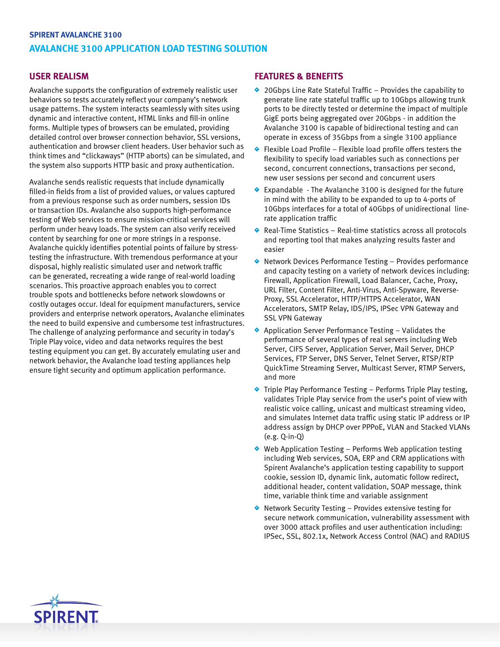#### **SPIRENT avalanche 3100**

## **avalanche 3100 APPLICATION LOAD TESTING SOLUTION**

## **User Realism**

Avalanche supports the configuration of extremely realistic user behaviors so tests accurately reflect your company's network usage patterns. The system interacts seamlessly with sites using dynamic and interactive content, HTML links and fill-in online forms. Multiple types of browsers can be emulated, providing detailed control over browser connection behavior, SSL versions, authentication and browser client headers. User behavior such as think times and "clickaways" (HTTP aborts) can be simulated, and the system also supports HTTP basic and proxy authentication.

Avalanche sends realistic requests that include dynamically filled-in fields from a list of provided values, or values captured from a previous response such as order numbers, session IDs or transaction IDs. Avalanche also supports high-performance testing of Web services to ensure mission-critical services will perform under heavy loads. The system can also verify received content by searching for one or more strings in a response. Avalanche quickly identifies potential points of failure by stresstesting the infrastructure. With tremendous performance at your disposal, highly realistic simulated user and network traffic can be generated, recreating a wide range of real-world loading scenarios. This proactive approach enables you to correct trouble spots and bottlenecks before network slowdowns or costly outages occur. Ideal for equipment manufacturers, service providers and enterprise network operators, Avalanche eliminates the need to build expensive and cumbersome test infrastructures. The challenge of analyzing performance and security in today's Triple Play voice, video and data networks requires the best testing equipment you can get. By accurately emulating user and network behavior, the Avalanche load testing appliances help ensure tight security and optimum application performance.

### **Features & Benefits**

- 20Gbps Line Rate Stateful Traffic Provides the capability to generate line rate stateful traffic up to 10Gbps allowing trunk ports to be directly tested or determine the impact of multiple GigE ports being aggregated over 20Gbps - in addition the Avalanche 3100 is capable of bidirectional testing and can operate in excess of 35Gbps from a single 3100 appliance
- Flexible Load Profile Flexible load profile offers testers the flexibility to specify load variables such as connections per second, concurrent connections, transactions per second, new user sessions per second and concurrent users
- Expandable The Avalanche 3100 is designed for the future in mind with the ability to be expanded to up to 4-ports of 10Gbps interfaces for a total of 40Gbps of unidirectional linerate application traffic
- Real-Time Statistics Real-time statistics across all protocols and reporting tool that makes analyzing results faster and easier
- Network Devices Performance Testing Provides performance and capacity testing on a variety of network devices including: Firewall, Application Firewall, Load Balancer, Cache, Proxy, URL Filter, Content Filter, Anti-Virus, Anti-Spyware, Reverse-Proxy, SSL Accelerator, HTTP/HTTPS Accelerator, WAN Accelerators, SMTP Relay, IDS/IPS, IPSec VPN Gateway and SSL VPN Gateway
- Application Server Performance Testing Validates the performance of several types of real servers including Web Server, CIFS Server, Application Server, Mail Server, DHCP Services, FTP Server, DNS Server, Telnet Server, RTSP/RTP QuickTime Streaming Server, Multicast Server, RTMP Servers, and more
- Triple Play Performance Testing Performs Triple Play testing, validates Triple Play service from the user's point of view with realistic voice calling, unicast and multicast streaming video, and simulates Internet data traffic using static IP address or IP address assign by DHCP over PPPoE, VLAN and Stacked VLANs (e.g. Q-in-Q)
- Web Application Testing Performs Web application testing including Web services, SOA, ERP and CRM applications with Spirent Avalanche's application testing capability to support cookie, session ID, dynamic link, automatic follow redirect, additional header, content validation, SOAP message, think time, variable think time and variable assignment
- Network Security Testing Provides extensive testing for secure network communication, vulnerability assessment with over 3000 attack profiles and user authentication including: IPSec, SSL, 802.1x, Network Access Control (NAC) and RADIUS

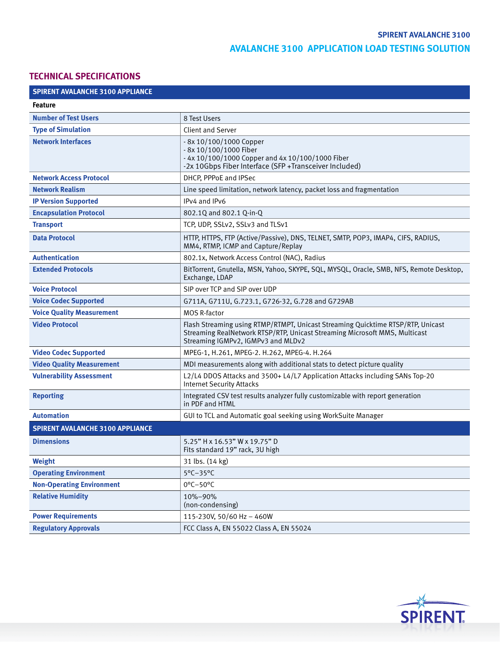## **Technical Specifications**

| <b>SPIRENT AVALANCHE 3100 APPLIANCE</b> |                                                                                                                                                                                                     |  |
|-----------------------------------------|-----------------------------------------------------------------------------------------------------------------------------------------------------------------------------------------------------|--|
| <b>Feature</b>                          |                                                                                                                                                                                                     |  |
| <b>Number of Test Users</b>             | 8 Test Users                                                                                                                                                                                        |  |
| <b>Type of Simulation</b>               | <b>Client and Server</b>                                                                                                                                                                            |  |
| <b>Network Interfaces</b>               | - 8x 10/100/1000 Copper<br>- 8x 10/100/1000 Fiber<br>- 4x 10/100/1000 Copper and 4x 10/100/1000 Fiber<br>-2x 10Gbps Fiber Interface (SFP +Transceiver Included)                                     |  |
| <b>Network Access Protocol</b>          | DHCP, PPPoE and IPSec                                                                                                                                                                               |  |
| <b>Network Realism</b>                  | Line speed limitation, network latency, packet loss and fragmentation                                                                                                                               |  |
| <b>IP Version Supported</b>             | IPv4 and IPv6                                                                                                                                                                                       |  |
| <b>Encapsulation Protocol</b>           | 802.1Q and 802.1 Q-in-Q                                                                                                                                                                             |  |
| <b>Transport</b>                        | TCP, UDP, SSLv2, SSLv3 and TLSv1                                                                                                                                                                    |  |
| <b>Data Protocol</b>                    | HTTP, HTTPS, FTP (Active/Passive), DNS, TELNET, SMTP, POP3, IMAP4, CIFS, RADIUS,<br>MM4, RTMP, ICMP and Capture/Replay                                                                              |  |
| <b>Authentication</b>                   | 802.1x, Network Access Control (NAC), Radius                                                                                                                                                        |  |
| <b>Extended Protocols</b>               | BitTorrent, Gnutella, MSN, Yahoo, SKYPE, SQL, MYSQL, Oracle, SMB, NFS, Remote Desktop,<br>Exchange, LDAP                                                                                            |  |
| <b>Voice Protocol</b>                   | SIP over TCP and SIP over UDP                                                                                                                                                                       |  |
| <b>Voice Codec Supported</b>            | G711A, G711U, G.723.1, G726-32, G.728 and G729AB                                                                                                                                                    |  |
| <b>Voice Quality Measurement</b>        | <b>MOS R-factor</b>                                                                                                                                                                                 |  |
| <b>Video Protocol</b>                   | Flash Streaming using RTMP/RTMPT, Unicast Streaming Quicktime RTSP/RTP, Unicast<br>Streaming RealNetwork RTSP/RTP, Unicast Streaming Microsoft MMS, Multicast<br>Streaming IGMPv2, IGMPv3 and MLDv2 |  |
| <b>Video Codec Supported</b>            | MPEG-1, H.261, MPEG-2. H.262, MPEG-4. H.264                                                                                                                                                         |  |
| <b>Video Quality Measurement</b>        | MDI measurements along with additional stats to detect picture quality                                                                                                                              |  |
| <b>Vulnerability Assessment</b>         | L2/L4 DDOS Attacks and 3500+ L4/L7 Application Attacks including SANs Top-20<br><b>Internet Security Attacks</b>                                                                                    |  |
| <b>Reporting</b>                        | Integrated CSV test results analyzer fully customizable with report generation<br>in PDF and HTML                                                                                                   |  |
| <b>Automation</b>                       | GUI to TCL and Automatic goal seeking using WorkSuite Manager                                                                                                                                       |  |
| <b>SPIRENT AVALANCHE 3100 APPLIANCE</b> |                                                                                                                                                                                                     |  |
| <b>Dimensions</b>                       | 5.25" H x 16.53" W x 19.75" D<br>Fits standard 19" rack, 3U high                                                                                                                                    |  |
| Weight                                  | 31 lbs. (14 kg)                                                                                                                                                                                     |  |
| <b>Operating Environment</b>            | 5°C-35°C                                                                                                                                                                                            |  |
| <b>Non-Operating Environment</b>        | $0^{\circ}$ C-50°C                                                                                                                                                                                  |  |
| <b>Relative Humidity</b>                | 10%-90%<br>(non-condensing)                                                                                                                                                                         |  |
| <b>Power Requirements</b>               | 115-230V, 50/60 Hz - 460W                                                                                                                                                                           |  |
| <b>Regulatory Approvals</b>             | FCC Class A, EN 55022 Class A, EN 55024                                                                                                                                                             |  |